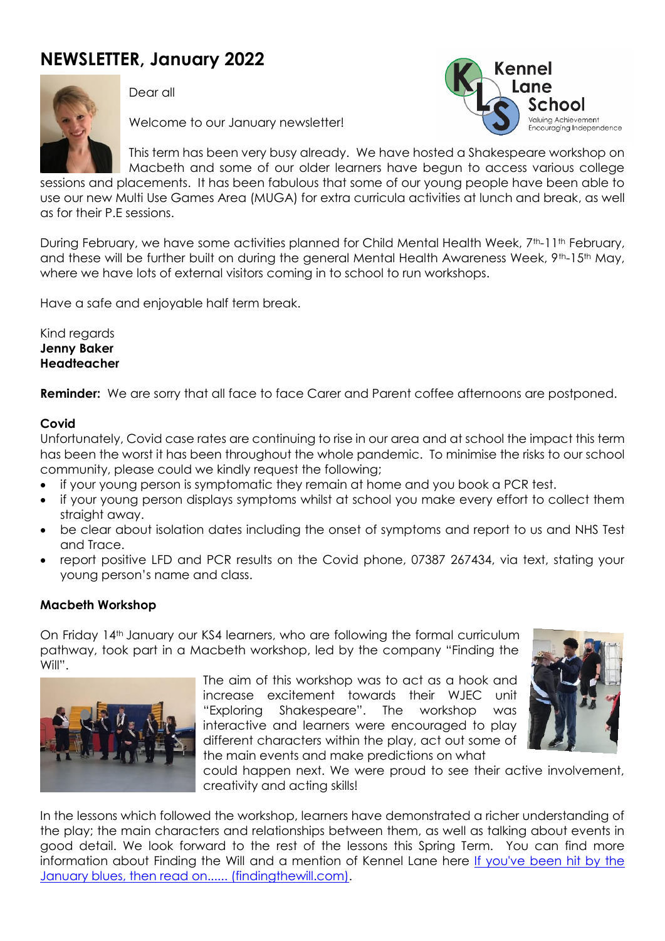# **NEWSLETTER, January 2022**



Dear all

Welcome to our January newsletter!



This term has been very busy already. We have hosted a Shakespeare workshop on Macbeth and some of our older learners have begun to access various college

sessions and placements. It has been fabulous that some of our young people have been able to use our new Multi Use Games Area (MUGA) for extra curricula activities at lunch and break, as well as for their P.E sessions.

During February, we have some activities planned for Child Mental Health Week, 7th-11th February, and these will be further built on during the general Mental Health Awareness Week, 9<sup>th</sup>-15<sup>th</sup> May, where we have lots of external visitors coming in to school to run workshops.

Have a safe and enjoyable half term break.

Kind regards **Jenny Baker Headteacher**

**Reminder:** We are sorry that all face to face Carer and Parent coffee afternoons are postponed.

#### **Covid**

Unfortunately, Covid case rates are continuing to rise in our area and at school the impact this term has been the worst it has been throughout the whole pandemic. To minimise the risks to our school community, please could we kindly request the following;

- if your young person is symptomatic they remain at home and you book a PCR test.
- if your young person displays symptoms whilst at school you make every effort to collect them straight away.
- be clear about isolation dates including the onset of symptoms and report to us and NHS Test and Trace.
- report positive LFD and PCR results on the Covid phone, 07387 267434, via text, stating your young person's name and class.

#### **Macbeth Workshop**

On Friday 14th January our KS4 learners, who are following the formal curriculum pathway, took part in a Macbeth workshop, led by the company "Finding the Will".



The aim of this workshop was to act as a hook and increase excitement towards their WJEC unit "Exploring Shakespeare". The workshop was interactive and learners were encouraged to play different characters within the play, act out some of the main events and make predictions on what



could happen next. We were proud to see their active involvement, creativity and acting skills!

In the lessons which followed the workshop, learners have demonstrated a richer understanding of the play; the main characters and relationships between them, as well as talking about events in good detail. We look forward to the rest of the lessons this Spring Term. You can find more information about Finding the Will and a mention of Kennel Lane here If you've been hit by the [January blues, then read on...... \(findingthewill.com\).](https://www.findingthewill.com/january-blues-no-time-for-that/)